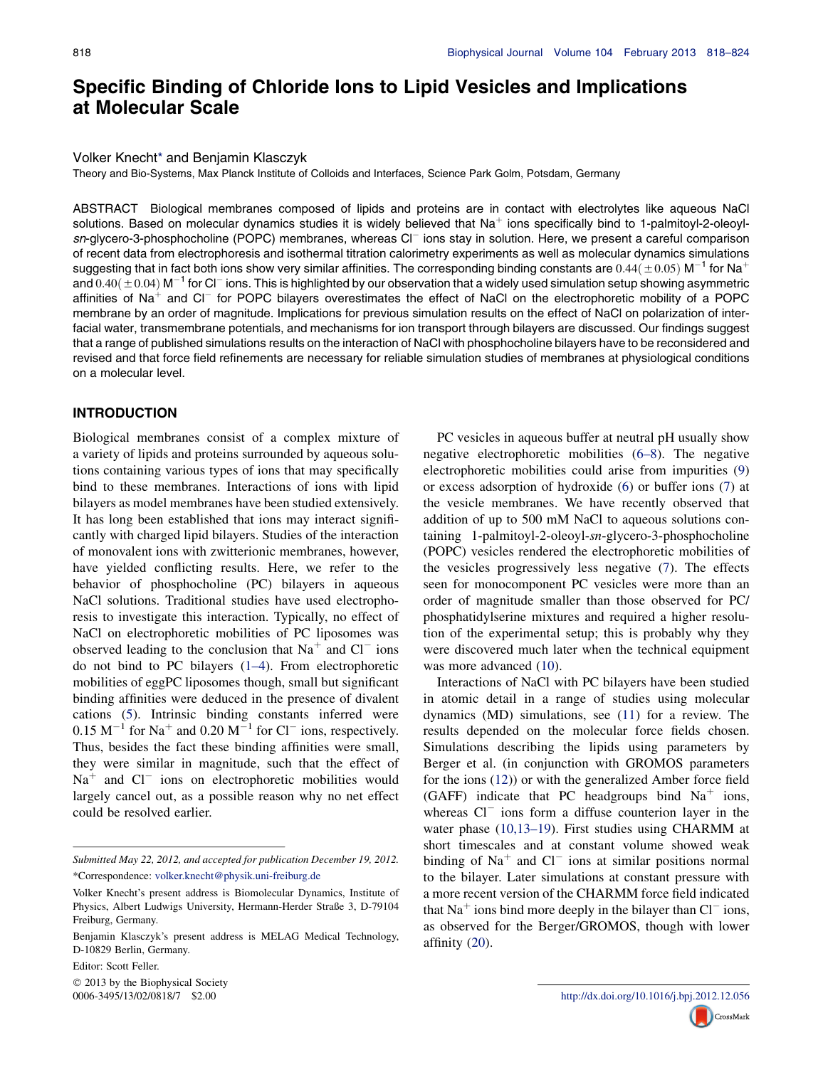# Specific Binding of Chloride Ions to Lipid Vesicles and Implications at Molecular Scale

#### Volker Knecht\* and Benjamin Klasczyk

Theory and Bio-Systems, Max Planck Institute of Colloids and Interfaces, Science Park Golm, Potsdam, Germany

ABSTRACT Biological membranes composed of lipids and proteins are in contact with electrolytes like aqueous NaCl solutions. Based on molecular dynamics studies it is widely believed that  $Na<sup>+</sup>$  ions specifically bind to 1-palmitoyl-2-oleoylsn-glycero-3-phosphocholine (POPC) membranes, whereas Cl<sup>-</sup> ions stay in solution. Here, we present a careful comparison of recent data from electrophoresis and isothermal titration calorimetry experiments as well as molecular dynamics simulations suggesting that in fact both ions show very similar affinities. The corresponding binding constants are  $0.44 (\pm 0.05)$  M<sup>-1</sup> for Na<sup>+</sup> and  $0.40(\pm 0.04)$  M<sup>-1</sup> for Cl<sup>-</sup> ions. This is highlighted by our observation that a widely used simulation setup showing asymmetric affinities of Na<sup>+</sup> and Cl<sup>-</sup> for POPC bilayers overestimates the effect of NaCl on the electrophoretic mobility of a POPC membrane by an order of magnitude. Implications for previous simulation results on the effect of NaCl on polarization of interfacial water, transmembrane potentials, and mechanisms for ion transport through bilayers are discussed. Our findings suggest that a range of published simulations results on the interaction of NaCl with phosphocholine bilayers have to be reconsidered and revised and that force field refinements are necessary for reliable simulation studies of membranes at physiological conditions on a molecular level.

### INTRODUCTION

Biological membranes consist of a complex mixture of a variety of lipids and proteins surrounded by aqueous solutions containing various types of ions that may specifically bind to these membranes. Interactions of ions with lipid bilayers as model membranes have been studied extensively. It has long been established that ions may interact significantly with charged lipid bilayers. Studies of the interaction of monovalent ions with zwitterionic membranes, however, have yielded conflicting results. Here, we refer to the behavior of phosphocholine (PC) bilayers in aqueous NaCl solutions. Traditional studies have used electrophoresis to investigate this interaction. Typically, no effect of NaCl on electrophoretic mobilities of PC liposomes was observed leading to the conclusion that  $Na<sup>+</sup>$  and  $Cl<sup>-</sup>$  ions do not bind to PC bilayers ([1–4\)](#page-6-0). From electrophoretic mobilities of eggPC liposomes though, small but significant binding affinities were deduced in the presence of divalent cations ([5\)](#page-6-0). Intrinsic binding constants inferred were  $0.15 \text{ M}^{-1}$  for Na<sup>+</sup> and  $0.20 \text{ M}^{-1}$  for Cl<sup>-</sup> ions, respectively. Thus, besides the fact these binding affinities were small, they were similar in magnitude, such that the effect of  $Na<sup>+</sup>$  and  $Cl<sup>-</sup>$  ions on electrophoretic mobilities would largely cancel out, as a possible reason why no net effect could be resolved earlier.

Editor: Scott Feller.

2013 by the Biophysical Society

PC vesicles in aqueous buffer at neutral pH usually show negative electrophoretic mobilities ([6–8\)](#page-6-0). The negative electrophoretic mobilities could arise from impurities [\(9](#page-6-0)) or excess adsorption of hydroxide [\(6](#page-6-0)) or buffer ions ([7\)](#page-6-0) at the vesicle membranes. We have recently observed that addition of up to 500 mM NaCl to aqueous solutions containing 1-palmitoyl-2-oleoyl-sn-glycero-3-phosphocholine (POPC) vesicles rendered the electrophoretic mobilities of the vesicles progressively less negative [\(7](#page-6-0)). The effects seen for monocomponent PC vesicles were more than an order of magnitude smaller than those observed for PC/ phosphatidylserine mixtures and required a higher resolution of the experimental setup; this is probably why they were discovered much later when the technical equipment was more advanced [\(10](#page-6-0)).

Interactions of NaCl with PC bilayers have been studied in atomic detail in a range of studies using molecular dynamics (MD) simulations, see [\(11](#page-6-0)) for a review. The results depended on the molecular force fields chosen. Simulations describing the lipids using parameters by Berger et al. (in conjunction with GROMOS parameters for the ions ([12\)](#page-6-0)) or with the generalized Amber force field (GAFF) indicate that PC headgroups bind  $Na<sup>+</sup>$  ions, whereas  $Cl^-$  ions form a diffuse counterion layer in the water phase ([10,13–19\)](#page-6-0). First studies using CHARMM at short timescales and at constant volume showed weak binding of  $Na<sup>+</sup>$  and  $Cl<sup>-</sup>$  ions at similar positions normal to the bilayer. Later simulations at constant pressure with a more recent version of the CHARMM force field indicated that  $Na<sup>+</sup>$  ions bind more deeply in the bilayer than  $Cl<sup>-</sup>$  ions, as observed for the Berger/GROMOS, though with lower affinity ([20\)](#page-6-0).



Submitted May 22, 2012, and accepted for publication December 19, 2012. \*Correspondence: [volker.knecht@physik.uni-freiburg.de](mailto:volker.knecht@physik.uni-freiburg.de)

Volker Knecht's present address is Biomolecular Dynamics, Institute of Physics, Albert Ludwigs University, Hermann-Herder Straße 3, D-79104 Freiburg, Germany.

Benjamin Klasczyk's present address is MELAG Medical Technology, D-10829 Berlin, Germany.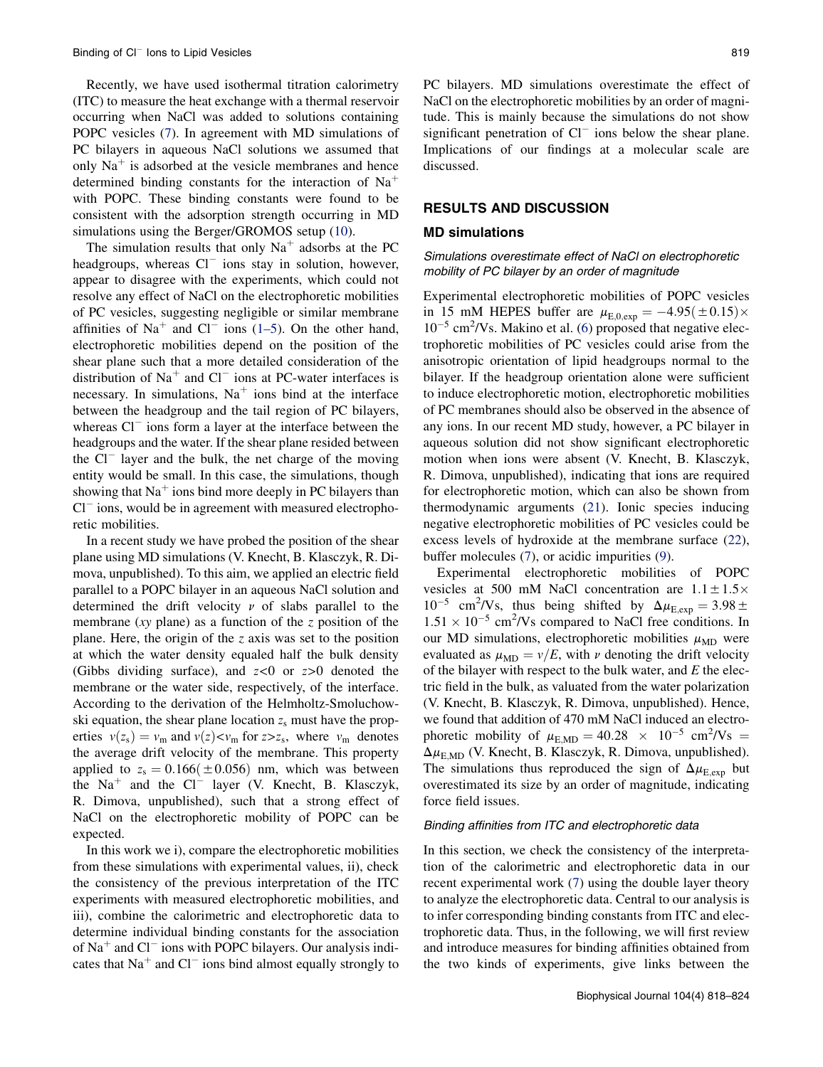Recently, we have used isothermal titration calorimetry (ITC) to measure the heat exchange with a thermal reservoir occurring when NaCl was added to solutions containing POPC vesicles ([7\)](#page-6-0). In agreement with MD simulations of PC bilayers in aqueous NaCl solutions we assumed that only  $Na<sup>+</sup>$  is adsorbed at the vesicle membranes and hence determined binding constants for the interaction of  $Na<sup>+</sup>$ with POPC. These binding constants were found to be consistent with the adsorption strength occurring in MD simulations using the Berger/GROMOS setup ([10](#page-6-0)).

The simulation results that only  $Na<sup>+</sup>$  adsorbs at the PC headgroups, whereas  $Cl^-$  ions stay in solution, however, appear to disagree with the experiments, which could not resolve any effect of NaCl on the electrophoretic mobilities of PC vesicles, suggesting negligible or similar membrane affinities of Na<sup>+</sup> and Cl<sup>-</sup> ions [\(1–5](#page-6-0)). On the other hand, electrophoretic mobilities depend on the position of the shear plane such that a more detailed consideration of the distribution of  $Na<sup>+</sup>$  and Cl<sup>-</sup> ions at PC-water interfaces is necessary. In simulations,  $Na<sup>+</sup>$  ions bind at the interface between the headgroup and the tail region of PC bilayers, whereas  $Cl^-$  ions form a layer at the interface between the headgroups and the water. If the shear plane resided between the Cl<sup>-</sup> layer and the bulk, the net charge of the moving entity would be small. In this case, the simulations, though showing that  $Na<sup>+</sup>$  ions bind more deeply in PC bilayers than  $Cl<sup>-</sup>$  ions, would be in agreement with measured electrophoretic mobilities.

In a recent study we have probed the position of the shear plane using MD simulations (V. Knecht, B. Klasczyk, R. Dimova, unpublished). To this aim, we applied an electric field parallel to a POPC bilayer in an aqueous NaCl solution and determined the drift velocity  $\nu$  of slabs parallel to the membrane ( $xy$  plane) as a function of the  $z$  position of the plane. Here, the origin of the z axis was set to the position at which the water density equaled half the bulk density (Gibbs dividing surface), and  $z<0$  or  $z>0$  denoted the membrane or the water side, respectively, of the interface. According to the derivation of the Helmholtz-Smoluchowski equation, the shear plane location  $z_s$  must have the properties  $v(z_s) = v_m$  and  $v(z) < v_m$  for  $z > z_s$ , where  $v_m$  denotes the average drift velocity of the membrane. This property applied to  $z_s = 0.166(\pm 0.056)$  nm, which was between the  $Na<sup>+</sup>$  and the Cl<sup>-</sup> layer (V. Knecht, B. Klasczyk, R. Dimova, unpublished), such that a strong effect of NaCl on the electrophoretic mobility of POPC can be expected.

In this work we i), compare the electrophoretic mobilities from these simulations with experimental values, ii), check the consistency of the previous interpretation of the ITC experiments with measured electrophoretic mobilities, and iii), combine the calorimetric and electrophoretic data to determine individual binding constants for the association of  $Na<sup>+</sup>$  and Cl<sup>-</sup> ions with POPC bilayers. Our analysis indicates that  $Na<sup>+</sup>$  and Cl<sup>-</sup> ions bind almost equally strongly to

PC bilayers. MD simulations overestimate the effect of NaCl on the electrophoretic mobilities by an order of magnitude. This is mainly because the simulations do not show significant penetration of  $Cl^-$  ions below the shear plane. Implications of our findings at a molecular scale are discussed.

# RESULTS AND DISCUSSION

## MD simulations

## Simulations overestimate effect of NaCl on electrophoretic mobility of PC bilayer by an order of magnitude

Experimental electrophoretic mobilities of POPC vesicles in 15 mM HEPES buffer are  $\mu_{\text{E},0,\text{exp}} = -4.95(\pm 0.15) \times$  $10^{-5}$  cm<sup>2</sup>/Vs. Makino et al. [\(6](#page-6-0)) proposed that negative electrophoretic mobilities of PC vesicles could arise from the anisotropic orientation of lipid headgroups normal to the bilayer. If the headgroup orientation alone were sufficient to induce electrophoretic motion, electrophoretic mobilities of PC membranes should also be observed in the absence of any ions. In our recent MD study, however, a PC bilayer in aqueous solution did not show significant electrophoretic motion when ions were absent (V. Knecht, B. Klasczyk, R. Dimova, unpublished), indicating that ions are required for electrophoretic motion, which can also be shown from thermodynamic arguments ([21\)](#page-6-0). Ionic species inducing negative electrophoretic mobilities of PC vesicles could be excess levels of hydroxide at the membrane surface ([22\)](#page-6-0), buffer molecules ([7\)](#page-6-0), or acidic impurities ([9\)](#page-6-0).

Experimental electrophoretic mobilities of POPC vesicles at 500 mM NaCl concentration are  $1.1 \pm 1.5 \times$  $10^{-5}$  cm<sup>2</sup>/Vs, thus being shifted by  $\Delta \mu_{E,exp} = 3.98 \pm 1.0$  $1.51 \times 10^{-5}$  cm<sup>2</sup>/Vs compared to NaCl free conditions. In our MD simulations, electrophoretic mobilities  $\mu_{MD}$  were evaluated as  $\mu_{MD} = v/E$ , with v denoting the drift velocity of the bilayer with respect to the bulk water, and  $E$  the electric field in the bulk, as valuated from the water polarization (V. Knecht, B. Klasczyk, R. Dimova, unpublished). Hence, we found that addition of 470 mM NaCl induced an electrophoretic mobility of  $\mu_{\text{E},\text{MD}} = 40.28 \times 10^{-5} \text{ cm}^2/\text{Vs} =$  $\Delta \mu_{\text{EMD}}$  (V. Knecht, B. Klasczyk, R. Dimova, unpublished). The simulations thus reproduced the sign of  $\Delta \mu_{\text{E,exp}}$  but overestimated its size by an order of magnitude, indicating force field issues.

#### Binding affinities from ITC and electrophoretic data

In this section, we check the consistency of the interpretation of the calorimetric and electrophoretic data in our recent experimental work ([7\)](#page-6-0) using the double layer theory to analyze the electrophoretic data. Central to our analysis is to infer corresponding binding constants from ITC and electrophoretic data. Thus, in the following, we will first review and introduce measures for binding affinities obtained from the two kinds of experiments, give links between the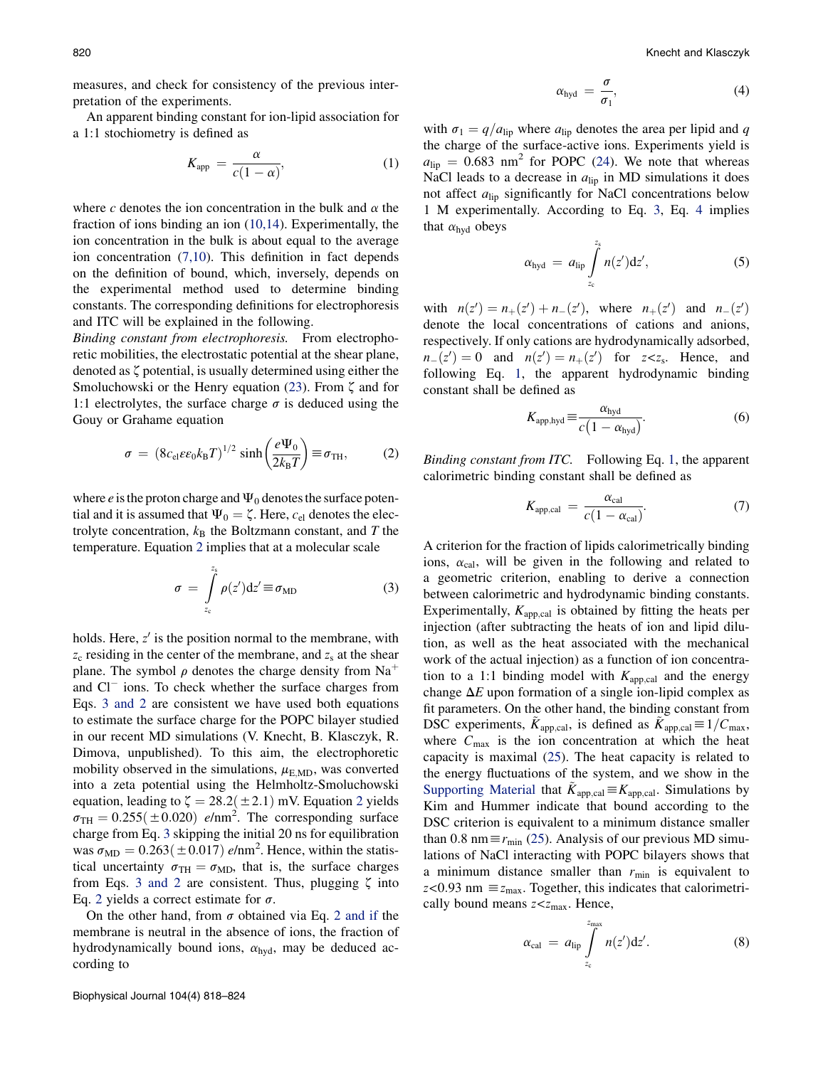<span id="page-2-0"></span>measures, and check for consistency of the previous interpretation of the experiments.

An apparent binding constant for ion-lipid association for a 1:1 stochiometry is defined as

$$
K_{\rm app} = \frac{\alpha}{c(1-\alpha)},\tag{1}
$$

where c denotes the ion concentration in the bulk and  $\alpha$  the fraction of ions binding an ion ([10,14](#page-6-0)). Experimentally, the ion concentration in the bulk is about equal to the average ion concentration ([7,10](#page-6-0)). This definition in fact depends on the definition of bound, which, inversely, depends on the experimental method used to determine binding constants. The corresponding definitions for electrophoresis and ITC will be explained in the following.

Binding constant from electrophoresis. From electrophoretic mobilities, the electrostatic potential at the shear plane, denoted as  $\zeta$  potential, is usually determined using either the Smoluchowski or the Henry equation ([23\)](#page-6-0). From  $\zeta$  and for 1:1 electrolytes, the surface charge  $\sigma$  is deduced using the Gouy or Grahame equation

$$
\sigma = (8c_{\rm el}\varepsilon\varepsilon_0 k_{\rm B}T)^{1/2}\sinh\left(\frac{e\Psi_0}{2k_{\rm B}T}\right) \equiv \sigma_{\rm TH},\qquad(2)
$$

where  $e$  is the proton charge and  $\Psi_0$  denotes the surface potential and it is assumed that  $\Psi_0 = \zeta$ . Here,  $c_{el}$  denotes the electrolyte concentration,  $k_B$  the Boltzmann constant, and T the temperature. Equation 2 implies that at a molecular scale

$$
\sigma = \int_{z_{\rm c}}^{z_{\rm s}} \rho(z') \mathrm{d}z' \equiv \sigma_{\rm MD} \tag{3}
$$

holds. Here,  $z'$  is the position normal to the membrane, with  $z_c$  residing in the center of the membrane, and  $z_s$  at the shear plane. The symbol  $\rho$  denotes the charge density from Na<sup>+</sup> and Cl<sup>-</sup> ions. To check whether the surface charges from Eqs. 3 and 2 are consistent we have used both equations to estimate the surface charge for the POPC bilayer studied in our recent MD simulations (V. Knecht, B. Klasczyk, R. Dimova, unpublished). To this aim, the electrophoretic mobility observed in the simulations,  $\mu_{\text{E},\text{MD}}$ , was converted into a zeta potential using the Helmholtz-Smoluchowski equation, leading to  $\zeta = 28.2(\pm 2.1)$  mV. Equation 2 yields  $\sigma_{\text{TH}} = 0.255(\pm 0.020)$  e/nm<sup>2</sup>. The corresponding surface charge from Eq. 3 skipping the initial 20 ns for equilibration was  $\sigma_{MD} = 0.263(\pm 0.017)$  e/nm<sup>2</sup>. Hence, within the statistical uncertainty  $\sigma_{TH} = \sigma_{MD}$ , that is, the surface charges from Eqs. 3 and 2 are consistent. Thus, plugging  $\zeta$  into Eq. 2 yields a correct estimate for  $\sigma$ .

On the other hand, from  $\sigma$  obtained via Eq. 2 and if the membrane is neutral in the absence of ions, the fraction of hydrodynamically bound ions,  $\alpha_{\text{hyd}}$ , may be deduced according to

$$
\alpha_{\text{hyd}} = \frac{\sigma}{\sigma_1},\tag{4}
$$

with  $\sigma_1 = q/a_{\text{lip}}$  where  $a_{\text{lip}}$  denotes the area per lipid and q the charge of the surface-active ions. Experiments yield is  $a_{\text{lin}} = 0.683$  nm<sup>2</sup> for POPC [\(24](#page-6-0)). We note that whereas NaCl leads to a decrease in  $a_{\text{lip}}$  in MD simulations it does not affect  $a_{\text{lin}}$  significantly for NaCl concentrations below 1 M experimentally. According to Eq. 3, Eq. 4 implies that  $\alpha_{\text{hyd}}$  obeys

$$
\alpha_{\text{hyd}} = a_{\text{lip}} \int_{z_{\text{c}}}^{z_{\text{s}}} n(z') \, \text{d} z', \tag{5}
$$

with  $n(z') = n_+(z') + n_-(z')$ , where  $n_+(z')$  and  $n_-(z')$ denote the local concentrations of cations and anions, respectively. If only cations are hydrodynamically adsorbed,  $n_{-}(z') = 0$  and  $n(z') = n_{+}(z')$  for  $z < z_{s}$ . Hence, and following Eq. 1, the apparent hydrodynamic binding constant shall be defined as

$$
K_{\text{app,hyd}} \equiv \frac{\alpha_{\text{hyd}}}{c\left(1 - \alpha_{\text{hyd}}\right)}.
$$
 (6)

Binding constant from ITC. Following Eq. 1, the apparent calorimetric binding constant shall be defined as

$$
K_{\text{app,cal}} = \frac{\alpha_{\text{cal}}}{c(1 - \alpha_{\text{cal}})}.
$$
 (7)

A criterion for the fraction of lipids calorimetrically binding ions,  $\alpha_{\text{cal}}$ , will be given in the following and related to a geometric criterion, enabling to derive a connection between calorimetric and hydrodynamic binding constants. Experimentally,  $K_{\text{app,cal}}$  is obtained by fitting the heats per injection (after subtracting the heats of ion and lipid dilution, as well as the heat associated with the mechanical work of the actual injection) as a function of ion concentration to a 1:1 binding model with  $K_{\text{app,cal}}$  and the energy change  $\Delta E$  upon formation of a single ion-lipid complex as fit parameters. On the other hand, the binding constant from DSC experiments,  $\tilde{K}_{\text{app,cal}}$ , is defined as  $\tilde{K}_{\text{app,cal}} \equiv 1/C_{\text{max}}$ , where  $C_{\text{max}}$  is the ion concentration at which the heat capacity is maximal [\(25](#page-6-0)). The heat capacity is related to the energy fluctuations of the system, and we show in the [Supporting Material](#page-6-0) that  $\ddot{K}_{\text{app,cal}} \equiv K_{\text{app,cal}}$ . Simulations by Kim and Hummer indicate that bound according to the DSC criterion is equivalent to a minimum distance smaller than 0.8 nm  $\equiv r_{\rm min}$  [\(25](#page-6-0)). Analysis of our previous MD simulations of NaCl interacting with POPC bilayers shows that a minimum distance smaller than  $r_{\min}$  is equivalent to  $z$ <0.93 nm  $\equiv$   $z_{\text{max}}$ . Together, this indicates that calorimetrically bound means  $z \lt z_{\text{max}}$ . Hence,

$$
\alpha_{\text{cal}} = a_{\text{lip}} \int\limits_{z_{\text{c}}}^{z_{\text{max}}} n(z') \, \mathrm{d} z'. \tag{8}
$$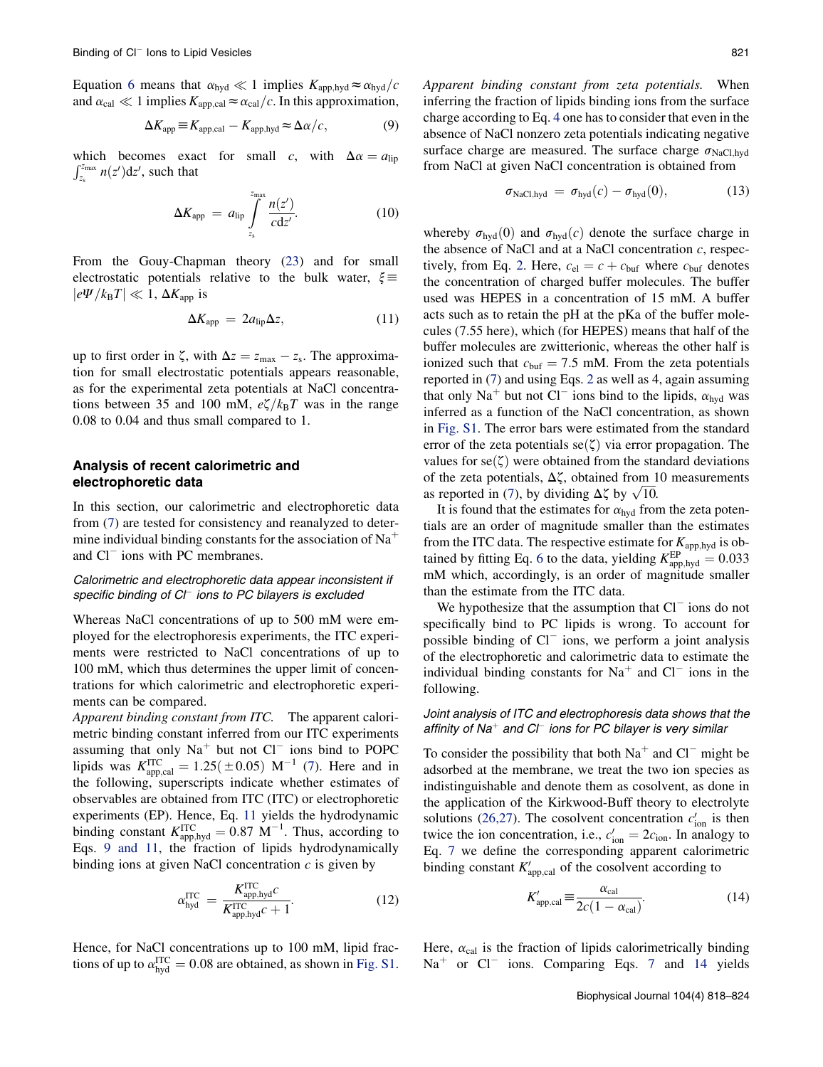<span id="page-3-0"></span>Equation [6](#page-2-0) means that  $\alpha_{\text{hyd}} \ll 1$  implies  $K_{\text{app,hyd}} \approx \alpha_{\text{hyd}}/c$ and  $\alpha_{\text{cal}} \ll 1$  implies  $K_{\text{app,cal}} \approx \alpha_{\text{cal}}/c$ . In this approximation,

$$
\Delta K_{\text{app}} \equiv K_{\text{app,cal}} - K_{\text{app,hyd}} \approx \Delta \alpha / c, \tag{9}
$$

which becomes exact for small c, with  $\Delta \alpha = a_{\text{lip}}$  $\int_{z_s}^{z_{\text{max}}} n(z') dz'$ , such that

$$
\Delta K_{\rm app} = a_{\rm lip} \int\limits_{z_{\rm s}}^{z_{\rm max}} \frac{n(z')}{c \, \mathrm{d} z'}.
$$
 (10)

From the Gouy-Chapman theory [\(23](#page-6-0)) and for small electrostatic potentials relative to the bulk water,  $\xi \equiv$  $|e\Psi/k_BT| \ll 1$ ,  $\Delta K_{\text{app}}$  is

$$
\Delta K_{\rm app} = 2a_{\rm lip}\Delta z,\tag{11}
$$

up to first order in  $\zeta$ , with  $\Delta z = z_{\text{max}} - z_{\text{s}}$ . The approximation for small electrostatic potentials appears reasonable, as for the experimental zeta potentials at NaCl concentrations between 35 and 100 mM,  $e\zeta/k_BT$  was in the range 0.08 to 0.04 and thus small compared to 1.

## Analysis of recent calorimetric and electrophoretic data

In this section, our calorimetric and electrophoretic data from ([7\)](#page-6-0) are tested for consistency and reanalyzed to determine individual binding constants for the association of  $Na<sup>+</sup>$ and Cl<sup>-</sup> ions with PC membranes.

## Calorimetric and electrophoretic data appear inconsistent if specific binding of CI<sup>-</sup> ions to PC bilayers is excluded

Whereas NaCl concentrations of up to 500 mM were employed for the electrophoresis experiments, the ITC experiments were restricted to NaCl concentrations of up to 100 mM, which thus determines the upper limit of concentrations for which calorimetric and electrophoretic experiments can be compared.

Apparent binding constant from ITC. The apparent calorimetric binding constant inferred from our ITC experiments assuming that only  $Na<sup>+</sup>$  but not  $Cl<sup>-</sup>$  ions bind to POPC lipids was  $K_{\text{app,cal}}^{\text{ITC}} = 1.25(\pm 0.05) \text{ M}^{-1}$  ([7\)](#page-6-0). Here and in the following, superscripts indicate whether estimates of observables are obtained from ITC (ITC) or electrophoretic experiments (EP). Hence, Eq. 11 yields the hydrodynamic binding constant  $K_{\text{app,hyd}}^{\text{ITC}} = 0.87 \text{ M}^{-1}$ . Thus, according to Eqs. 9 and 11, the fraction of lipids hydrodynamically binding ions at given NaCl concentration  $c$  is given by

$$
\alpha_{\text{hyd}}^{\text{ITC}} = \frac{K_{\text{app,hyd}}^{\text{ITC}} c}{K_{\text{app,hyd}}^{\text{ITC}} c + 1}.
$$
\n(12)

Hence, for NaCl concentrations up to 100 mM, lipid fractions of up to  $\alpha_{\text{hyd}}^{\text{ITC}} = 0.08$  are obtained, as shown in [Fig. S1](#page-6-0).

Apparent binding constant from zeta potentials. When inferring the fraction of lipids binding ions from the surface charge according to Eq. [4](#page-2-0) one has to consider that even in the absence of NaCl nonzero zeta potentials indicating negative surface charge are measured. The surface charge  $\sigma_{\text{NaCl,hyd}}$ from NaCl at given NaCl concentration is obtained from

$$
\sigma_{\text{NaCl,hyd}} = \sigma_{\text{hyd}}(c) - \sigma_{\text{hyd}}(0), \tag{13}
$$

whereby  $\sigma_{\text{hvd}}(0)$  and  $\sigma_{\text{hvd}}(c)$  denote the surface charge in the absence of NaCl and at a NaCl concentration  $c$ , respec-tively, from Eq. [2.](#page-2-0) Here,  $c_{el} = c + c_{buf}$  where  $c_{buf}$  denotes the concentration of charged buffer molecules. The buffer used was HEPES in a concentration of 15 mM. A buffer acts such as to retain the pH at the pKa of the buffer molecules (7.55 here), which (for HEPES) means that half of the buffer molecules are zwitterionic, whereas the other half is ionized such that  $c_{\text{buf}} = 7.5$  mM. From the zeta potentials reported in [\(7](#page-6-0)) and using Eqs. [2](#page-2-0) as well as 4, again assuming that only Na<sup>+</sup> but not Cl<sup>-</sup> ions bind to the lipids,  $\alpha_{\text{hyd}}$  was inferred as a function of the NaCl concentration, as shown in [Fig. S1](#page-6-0). The error bars were estimated from the standard error of the zeta potentials  $se(\zeta)$  via error propagation. The values for  $se(\zeta)$  were obtained from the standard deviations of the zeta potentials,  $\Delta \zeta$ , obtained from 10 measurements as reported in [\(7](#page-6-0)), by dividing  $\Delta \zeta$  by  $\sqrt{10}$ .

It is found that the estimates for  $\alpha_{\text{hyd}}$  from the zeta potentials are an order of magnitude smaller than the estimates from the ITC data. The respective estimate for  $K_{\text{app,hyd}}$  is ob-tained by fitting Eq. [6](#page-2-0) to the data, yielding  $K_{\text{app,hyd}}^{\text{EP}} = 0.033$ mM which, accordingly, is an order of magnitude smaller than the estimate from the ITC data.

We hypothesize that the assumption that  $Cl^-$  ions do not specifically bind to PC lipids is wrong. To account for possible binding of Cl<sup>-</sup> ions, we perform a joint analysis of the electrophoretic and calorimetric data to estimate the individual binding constants for  $Na<sup>+</sup>$  and  $Cl<sup>-</sup>$  ions in the following.

## Joint analysis of ITC and electrophoresis data shows that the affinity of Na $^+$  and Cl $^-$  ions for PC bilayer is very similar

To consider the possibility that both  $Na<sup>+</sup>$  and  $Cl<sup>-</sup>$  might be adsorbed at the membrane, we treat the two ion species as indistinguishable and denote them as cosolvent, as done in the application of the Kirkwood-Buff theory to electrolyte solutions [\(26,27\)](#page-6-0). The cosolvent concentration  $c'_{\text{ion}}$  is then twice the ion concentration, i.e.,  $c'_{\text{ion}} = 2c_{\text{ion}}$ . In analogy to Eq. [7](#page-2-0) we define the corresponding apparent calorimetric binding constant  $K_{\text{app,cal}}'$  of the cosolvent according to

$$
K'_{\text{app,cal}} \equiv \frac{\alpha_{\text{cal}}}{2c(1 - \alpha_{\text{cal}})}.
$$
 (14)

Here,  $\alpha_{\text{cal}}$  is the fraction of lipids calorimetrically binding  $Na<sup>+</sup>$  or Cl<sup>-</sup> ions. Comparing Eqs. [7](#page-2-0) and 14 yields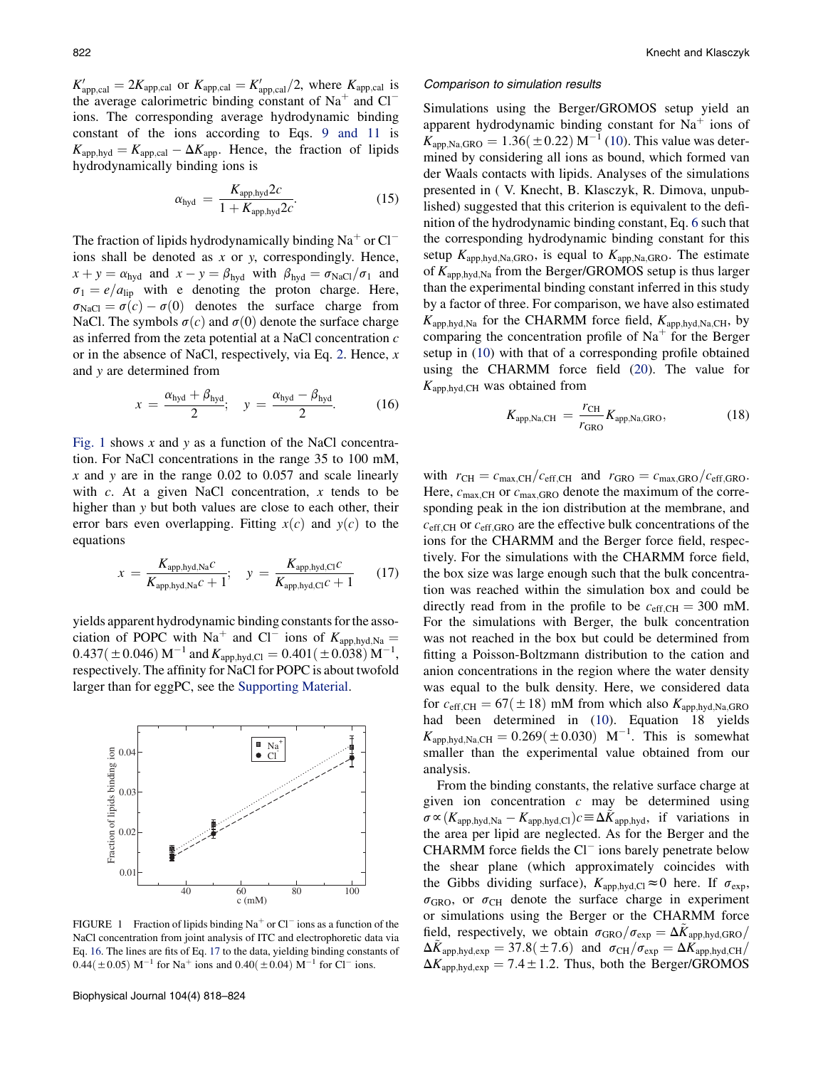$K_{\text{app,cal}}' = 2K_{\text{app,cal}}$  or  $K_{\text{app,cal}} = K_{\text{app,cal}}'/2$ , where  $K_{\text{app,cal}}$  is the average calorimetric binding constant of  $Na<sup>+</sup>$  and  $Cl$ ions. The corresponding average hydrodynamic binding constant of the ions according to Eqs. [9 and 11](#page-3-0) is  $K_{\text{app,hyd}} = K_{\text{app,cal}} - \Delta K_{\text{app}}$ . Hence, the fraction of lipids hydrodynamically binding ions is

$$
\alpha_{\text{hyd}} = \frac{K_{\text{app,hyd}} 2c}{1 + K_{\text{app,hyd}} 2c}.
$$
\n(15)

The fraction of lipids hydrodynamically binding  $Na<sup>+</sup>$  or Cl<sup>-</sup> ions shall be denoted as  $x$  or  $y$ , correspondingly. Hence,  $x + y = \alpha_{\text{hyd}}$  and  $x - y = \beta_{\text{hyd}}$  with  $\beta_{\text{hyd}} = \sigma_{\text{NaCl}}/\sigma_1$  and  $\sigma_1 = e/a_{\text{lip}}$  with e denoting the proton charge. Here,  $\sigma_{\text{NaCl}} = \sigma(c) - \sigma(0)$  denotes the surface charge from NaCl. The symbols  $\sigma(c)$  and  $\sigma(0)$  denote the surface charge as inferred from the zeta potential at a NaCl concentration c or in the absence of NaCl, respectively, via Eq. [2.](#page-2-0) Hence,  $x$ and y are determined from

$$
x = \frac{\alpha_{\text{hyd}} + \beta_{\text{hyd}}}{2}; \quad y = \frac{\alpha_{\text{hyd}} - \beta_{\text{hyd}}}{2}.
$$
 (16)

Fig. 1 shows x and y as a function of the NaCl concentration. For NaCl concentrations in the range 35 to 100 mM,  $x$  and  $y$  are in the range 0.02 to 0.057 and scale linearly with  $c$ . At a given NaCl concentration,  $x$  tends to be higher than y but both values are close to each other, their error bars even overlapping. Fitting  $x(c)$  and  $y(c)$  to the equations

$$
x = \frac{K_{\text{app,hyd,Na}}c}{K_{\text{app,hyd,Na}}c + 1}; \quad y = \frac{K_{\text{app,hyd,Cl}}c}{K_{\text{app,hyd,Cl}}c + 1} \quad (17)
$$

yields apparent hydrodynamic binding constants for the association of POPC with Na<sup>+</sup> and Cl<sup>-</sup> ions of  $K_{\text{app,hyd,Na}} =$  $0.437(\pm 0.046)$  M<sup>-1</sup> and  $K_{\text{app,hyd,Cl}} = 0.401(\pm 0.038)$  M<sup>-1</sup>, respectively. The affinity for NaCl for POPC is about twofold larger than for eggPC, see the [Supporting Material.](#page-6-0)



FIGURE 1 Fraction of lipids binding  $Na<sup>+</sup>$  or Cl<sup>-</sup> ions as a function of the NaCl concentration from joint analysis of ITC and electrophoretic data via Eq. 16. The lines are fits of Eq. 17 to the data, yielding binding constants of  $0.44 (\pm 0.05)$  M<sup>-1</sup> for Na<sup>+</sup> ions and  $0.40 (\pm 0.04)$  M<sup>-1</sup> for Cl<sup>-</sup> ions.

#### Comparison to simulation results

Simulations using the Berger/GROMOS setup yield an apparent hydrodynamic binding constant for  $Na<sup>+</sup>$  ions of  $\widehat{K}_{\text{app,Na,GRO}} = 1.36(\pm 0.22) \,\text{M}^{-1}$  ([10\)](#page-6-0). This value was determined by considering all ions as bound, which formed van der Waals contacts with lipids. Analyses of the simulations presented in ( V. Knecht, B. Klasczyk, R. Dimova, unpublished) suggested that this criterion is equivalent to the definition of the hydrodynamic binding constant, Eq. [6](#page-2-0) such that the corresponding hydrodynamic binding constant for this setup  $K_{\text{app,hyd,Na,GRO}}$ , is equal to  $K_{\text{app,Na,GRO}}$ . The estimate of  $K_{\text{app,hyd,Na}}$  from the Berger/GROMOS setup is thus larger than the experimental binding constant inferred in this study by a factor of three. For comparison, we have also estimated  $K_{\text{app,hyd,Na}}$  for the CHARMM force field,  $K_{\text{app,hyd,Na,CH}}$ , by comparing the concentration profile of  $Na<sup>+</sup>$  for the Berger setup in [\(10](#page-6-0)) with that of a corresponding profile obtained using the CHARMM force field [\(20](#page-6-0)). The value for  $K_{\text{app,hyd,CH}}$  was obtained from

$$
K_{\text{app,Na,CH}} = \frac{r_{\text{CH}}}{r_{\text{GRO}}} K_{\text{app,Na,GRO}},\tag{18}
$$

with  $r_{\text{CH}}=c_{\text{max,CH}}/c_{\text{eff,CH}}$  and  $r_{\text{GRO}}=c_{\text{max,GRO}}/c_{\text{eff,GRO}}$ . Here,  $c_{\text{max,CH}}$  or  $c_{\text{max,GRO}}$  denote the maximum of the corresponding peak in the ion distribution at the membrane, and  $c_{\text{eff,CH}}$  or  $c_{\text{eff,GRO}}$  are the effective bulk concentrations of the ions for the CHARMM and the Berger force field, respectively. For the simulations with the CHARMM force field, the box size was large enough such that the bulk concentration was reached within the simulation box and could be directly read from in the profile to be  $c_{\text{eff,CH}} = 300 \text{ mM.}$ For the simulations with Berger, the bulk concentration was not reached in the box but could be determined from fitting a Poisson-Boltzmann distribution to the cation and anion concentrations in the region where the water density was equal to the bulk density. Here, we considered data for  $c_{\text{eff,CH}} = 67(\pm 18) \text{ mM from which also } K_{\text{app,hyd,Na,GRO}}$ had been determined in [\(10](#page-6-0)). Equation 18 yields  $K_{\text{app,hyd,Na,CH}} = 0.269(\pm 0.030) \text{ M}^{-1}$ . This is somewhat smaller than the experimental value obtained from our analysis.

From the binding constants, the relative surface charge at given ion concentration  $c$  may be determined using  $\sigma \propto (K_{\text{app,hyd,Na}} - K_{\text{app,hyd,Cl}})c \equiv \Delta \tilde{K}_{\text{app,hyd}}$ , if variations in the area per lipid are neglected. As for the Berger and the  $CHARMM$  force fields the  $Cl^-$  ions barely penetrate below the shear plane (which approximately coincides with the Gibbs dividing surface),  $K_{\text{app,hyd,Cl}} \approx 0$  here. If  $\sigma_{\text{exp}}$ ,  $\sigma_{\rm GRO}$ , or  $\sigma_{\rm CH}$  denote the surface charge in experiment or simulations using the Berger or the CHARMM force field, respectively, we obtain  $\sigma_{\rm GRO}/\sigma_{\rm exp} = \Delta K_{\rm app,hyd,GRO}/$  $\Delta K_{\text{app,hyd,exp}} = 37.8(\pm7.6)$  and  $\sigma_{\text{CH}}/\sigma_{\text{exp}} = \Delta K_{\text{app,hyd,CH}}/$  $\Delta K_{\text{app,hyd,exp}} = 7.4 \pm 1.2$ . Thus, both the Berger/GROMOS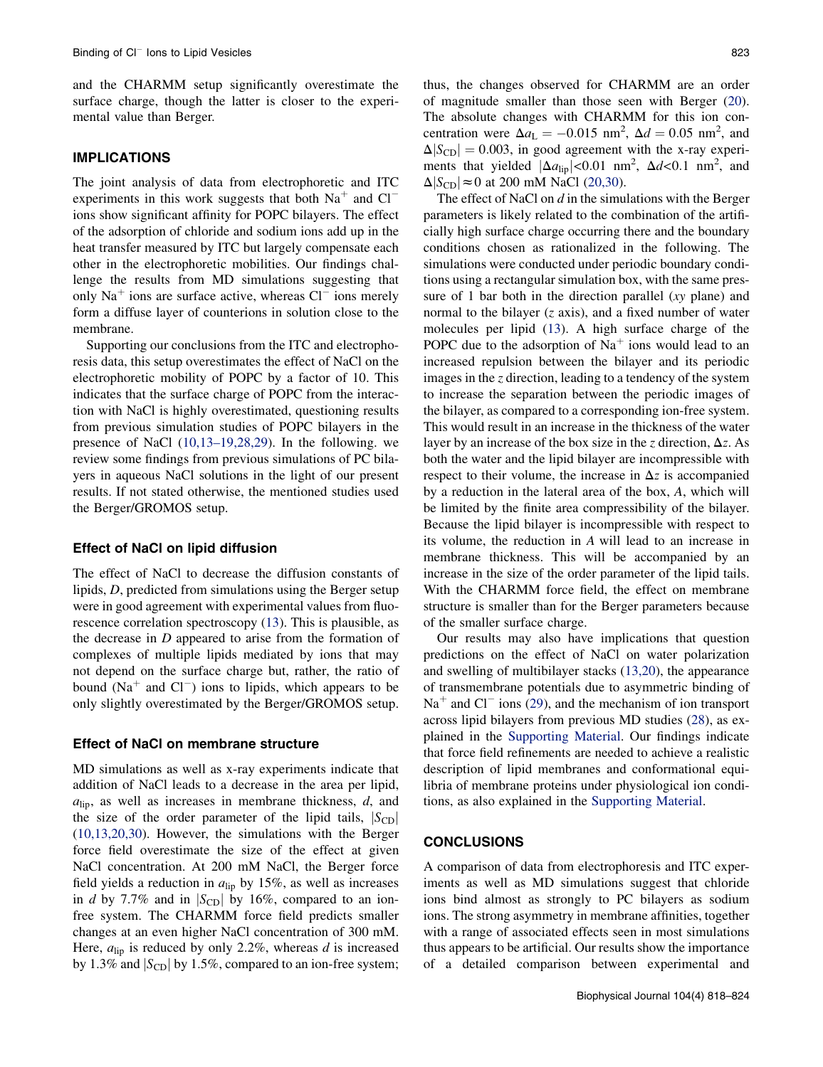and the CHARMM setup significantly overestimate the surface charge, though the latter is closer to the experimental value than Berger.

# IMPLICATIONS

The joint analysis of data from electrophoretic and ITC experiments in this work suggests that both  $Na<sup>+</sup>$  and  $Cl$ ions show significant affinity for POPC bilayers. The effect of the adsorption of chloride and sodium ions add up in the heat transfer measured by ITC but largely compensate each other in the electrophoretic mobilities. Our findings challenge the results from MD simulations suggesting that only Na<sup>+</sup> ions are surface active, whereas  $Cl^-$  ions merely form a diffuse layer of counterions in solution close to the membrane.

Supporting our conclusions from the ITC and electrophoresis data, this setup overestimates the effect of NaCl on the electrophoretic mobility of POPC by a factor of 10. This indicates that the surface charge of POPC from the interaction with NaCl is highly overestimated, questioning results from previous simulation studies of POPC bilayers in the presence of NaCl ([10,13–19,28,29](#page-6-0)). In the following. we review some findings from previous simulations of PC bilayers in aqueous NaCl solutions in the light of our present results. If not stated otherwise, the mentioned studies used the Berger/GROMOS setup.

#### Effect of NaCl on lipid diffusion

The effect of NaCl to decrease the diffusion constants of lipids, D, predicted from simulations using the Berger setup were in good agreement with experimental values from fluorescence correlation spectroscopy ([13\)](#page-6-0). This is plausible, as the decrease in  $D$  appeared to arise from the formation of complexes of multiple lipids mediated by ions that may not depend on the surface charge but, rather, the ratio of bound ( $Na<sup>+</sup>$  and  $Cl<sup>-</sup>$ ) ions to lipids, which appears to be only slightly overestimated by the Berger/GROMOS setup.

## Effect of NaCl on membrane structure

MD simulations as well as x-ray experiments indicate that addition of NaCl leads to a decrease in the area per lipid,  $a<sub>lin</sub>$ , as well as increases in membrane thickness,  $d$ , and the size of the order parameter of the lipid tails,  $|S_{CD}|$ ([10,13,20,30](#page-6-0)). However, the simulations with the Berger force field overestimate the size of the effect at given NaCl concentration. At 200 mM NaCl, the Berger force field yields a reduction in  $a_{\text{lib}}$  by 15%, as well as increases in d by 7.7% and in  $|S_{CD}|$  by 16%, compared to an ionfree system. The CHARMM force field predicts smaller changes at an even higher NaCl concentration of 300 mM. Here,  $a_{\text{lip}}$  is reduced by only 2.2%, whereas d is increased by 1.3% and  $|S_{CD}|$  by 1.5%, compared to an ion-free system; thus, the changes observed for CHARMM are an order of magnitude smaller than those seen with Berger ([20\)](#page-6-0). The absolute changes with CHARMM for this ion concentration were  $\Delta a_L = -0.015$  nm<sup>2</sup>,  $\Delta d = 0.05$  nm<sup>2</sup>, and  $\Delta |S_{\text{CD}}| = 0.003$ , in good agreement with the x-ray experiments that yielded  $|\Delta a_{\text{lip}}| < 0.01 \text{ nm}^2$ ,  $\Delta d < 0.1 \text{ nm}^2$ , and  $\Delta |S_{\text{CD}}| \approx 0$  at 200 mM NaCl [\(20,30\)](#page-6-0).

The effect of NaCl on  $d$  in the simulations with the Berger parameters is likely related to the combination of the artificially high surface charge occurring there and the boundary conditions chosen as rationalized in the following. The simulations were conducted under periodic boundary conditions using a rectangular simulation box, with the same pressure of 1 bar both in the direction parallel (xy plane) and normal to the bilayer (z axis), and a fixed number of water molecules per lipid [\(13](#page-6-0)). A high surface charge of the POPC due to the adsorption of  $Na<sup>+</sup>$  ions would lead to an increased repulsion between the bilayer and its periodic images in the  $z$  direction, leading to a tendency of the system to increase the separation between the periodic images of the bilayer, as compared to a corresponding ion-free system. This would result in an increase in the thickness of the water layer by an increase of the box size in the z direction,  $\Delta z$ . As both the water and the lipid bilayer are incompressible with respect to their volume, the increase in  $\Delta z$  is accompanied by a reduction in the lateral area of the box, A, which will be limited by the finite area compressibility of the bilayer. Because the lipid bilayer is incompressible with respect to its volume, the reduction in A will lead to an increase in membrane thickness. This will be accompanied by an increase in the size of the order parameter of the lipid tails. With the CHARMM force field, the effect on membrane structure is smaller than for the Berger parameters because of the smaller surface charge.

Our results may also have implications that question predictions on the effect of NaCl on water polarization and swelling of multibilayer stacks [\(13,20\)](#page-6-0), the appearance of transmembrane potentials due to asymmetric binding of  $Na<sup>+</sup>$  and Cl<sup>-</sup> ions [\(29](#page-6-0)), and the mechanism of ion transport across lipid bilayers from previous MD studies ([28\)](#page-6-0), as explained in the [Supporting Material](#page-6-0). Our findings indicate that force field refinements are needed to achieve a realistic description of lipid membranes and conformational equilibria of membrane proteins under physiological ion conditions, as also explained in the [Supporting Material](#page-6-0).

### **CONCLUSIONS**

A comparison of data from electrophoresis and ITC experiments as well as MD simulations suggest that chloride ions bind almost as strongly to PC bilayers as sodium ions. The strong asymmetry in membrane affinities, together with a range of associated effects seen in most simulations thus appears to be artificial. Our results show the importance of a detailed comparison between experimental and